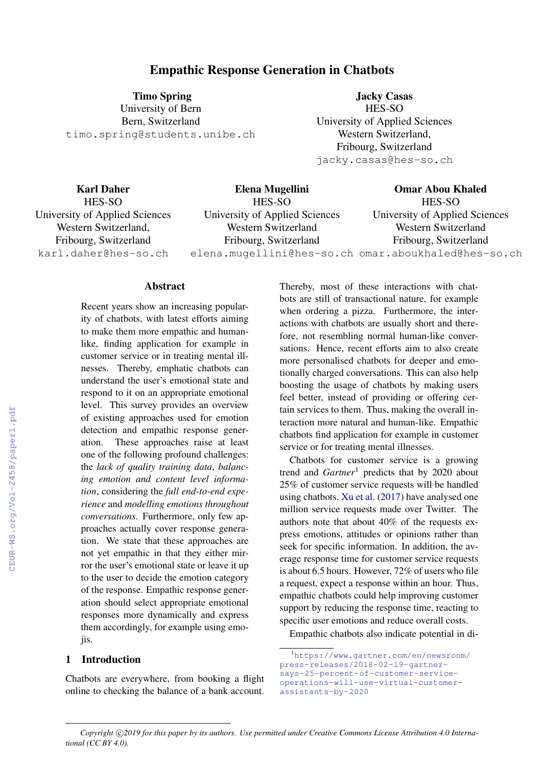# Empathic Response Generation in Chatbots

Timo Spring University of Bern Bern, Switzerland timo.spring@students.unibe.ch

Jacky Casas HES-SO University of Applied Sciences Western Switzerland, Fribourg, Switzerland jacky.casas@hes-so.ch

| <b>Karl Daher</b>              | Elena Mugellini                                     | <b>Omar Abou Khaled</b>        |
|--------------------------------|-----------------------------------------------------|--------------------------------|
| HES-SO                         | HES-SO                                              | HES-SO                         |
| University of Applied Sciences | University of Applied Sciences                      | University of Applied Sciences |
| Western Switzerland,           | Western Switzerland                                 | Western Switzerland            |
| Fribourg, Switzerland          | Fribourg, Switzerland                               | Fribourg, Switzerland          |
| karl.daher@hes-so.ch           | elena.muqellini@hes-so.ch omar.aboukhaled@hes-so.ch |                                |

## **Abstract**

Recent years show an increasing popularity of chatbots, with latest efforts aiming to make them more empathic and humanlike, finding application for example in customer service or in treating mental illnesses. Thereby, emphatic chatbots can understand the user's emotional state and respond to it on an appropriate emotional level. This survey provides an overview of existing approaches used for emotion detection and empathic response generation. These approaches raise at least one of the following profound challenges: the *lack of quality training data*, *balancing emotion and content level information*, considering the *full end-to-end experience* and *modelling emotions throughout conversations*. Furthermore, only few approaches actually cover response generation. We state that these approaches are not yet empathic in that they either mirror the user's emotional state or leave it up to the user to decide the emotion category of the response. Empathic response generation should select appropriate emotional responses more dynamically and express them accordingly, for example using emojis.

## 1 Introduction

Chatbots are everywhere, from booking a flight online to checking the balance of a bank account. Thereby, most of these interactions with chatbots are still of transactional nature, for example when ordering a pizza. Furthermore, the interactions with chatbots are usually short and therefore, not resembling normal human-like conversations. Hence, recent efforts aim to also create more personalised chatbots for deeper and emotionally charged conversations. This can also help boosting the usage of chatbots by making users feel better, instead of providing or offering certain services to them. Thus, making the overall interaction more natural and human-like. Empathic chatbots find application for example in customer service or for treating mental illnesses.

Chatbots for customer service is a growing trend and *Gartner*<sup>1</sup> predicts that by 2020 about 25% of customer service requests will be handled using chatbots. Xu et al. (2017) have analysed one million service requests made over Twitter. The authors note that about 40% of the requests express emotions, attitudes or opinions rather than seek for specific information. In addition, the average response time for customer service requests is about 6.5 hours. However, 72% of users who file a request, expect a response within an hour. Thus, empathic chatbots could help improving customer support by reducing the response time, reacting to specific user emotions and reduce overall costs.

Empathic chatbots also indicate potential in di-

<sup>1</sup>https://www.gartner.com/en/newsroom/ press-releases/2018-02-19-gartnersays-25-percent-of-customer-serviceoperations-will-use-virtual-customerassistants-by-2020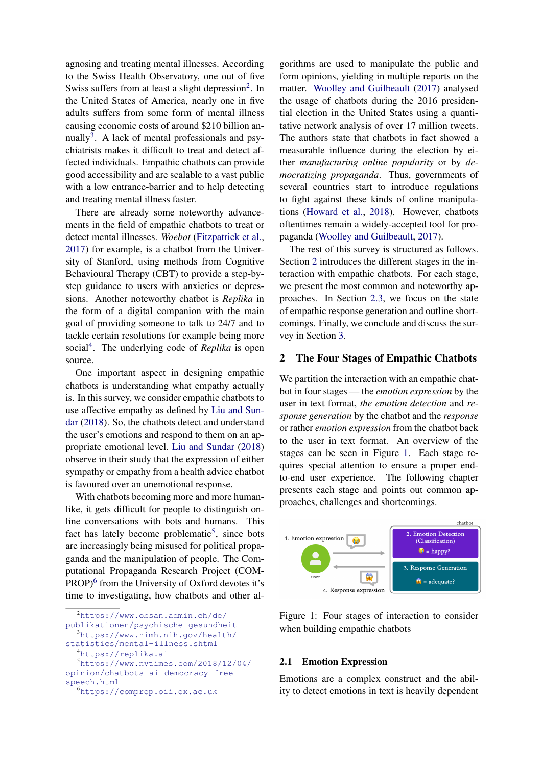agnosing and treating mental illnesses. According to the Swiss Health Observatory, one out of five Swiss suffers from at least a slight depression<sup>2</sup>. In the United States of America, nearly one in five adults suffers from some form of mental illness causing economic costs of around \$210 billion annually<sup>3</sup>. A lack of mental professionals and psychiatrists makes it difficult to treat and detect affected individuals. Empathic chatbots can provide good accessibility and are scalable to a vast public with a low entrance-barrier and to help detecting and treating mental illness faster.

There are already some noteworthy advancements in the field of empathic chatbots to treat or detect mental illnesses. *Woebot* (Fitzpatrick et al., 2017) for example, is a chatbot from the University of Stanford, using methods from Cognitive Behavioural Therapy (CBT) to provide a step-bystep guidance to users with anxieties or depressions. Another noteworthy chatbot is *Replika* in the form of a digital companion with the main goal of providing someone to talk to 24/7 and to tackle certain resolutions for example being more social<sup>4</sup>. The underlying code of *Replika* is open source.

One important aspect in designing empathic chatbots is understanding what empathy actually is. In this survey, we consider empathic chatbots to use affective empathy as defined by Liu and Sundar (2018). So, the chatbots detect and understand the user's emotions and respond to them on an appropriate emotional level. Liu and Sundar (2018) observe in their study that the expression of either sympathy or empathy from a health advice chatbot is favoured over an unemotional response.

With chatbots becoming more and more humanlike, it gets difficult for people to distinguish online conversations with bots and humans. This fact has lately become problematic<sup>5</sup>, since bots are increasingly being misused for political propaganda and the manipulation of people. The Computational Propaganda Research Project (COM-PROP)<sup>6</sup> from the University of Oxford devotes it's time to investigating, how chatbots and other al-

<sup>2</sup>https://www.obsan.admin.ch/de/ publikationen/psychische-gesundheit <sup>3</sup>https://www.nimh.nih.gov/health/

statistics/mental-illness.shtml

<sup>4</sup>https://replika.ai

<sup>5</sup>https://www.nytimes.com/2018/12/04/ opinion/chatbots-ai-democracy-freespeech.html

<sup>6</sup>https://comprop.oii.ox.ac.uk

gorithms are used to manipulate the public and form opinions, yielding in multiple reports on the matter. Woolley and Guilbeault (2017) analysed the usage of chatbots during the 2016 presidential election in the United States using a quantitative network analysis of over 17 million tweets. The authors state that chatbots in fact showed a measurable influence during the election by either *manufacturing online popularity* or by *democratizing propaganda*. Thus, governments of several countries start to introduce regulations to fight against these kinds of online manipulations (Howard et al., 2018). However, chatbots oftentimes remain a widely-accepted tool for propaganda (Woolley and Guilbeault, 2017).

The rest of this survey is structured as follows. Section 2 introduces the different stages in the interaction with empathic chatbots. For each stage, we present the most common and noteworthy approaches. In Section 2.3, we focus on the state of empathic response generation and outline shortcomings. Finally, we conclude and discuss the survey in Section 3.

### 2 The Four Stages of Empathic Chatbots

We partition the interaction with an empathic chatbot in four stages — the *emotion expression* by the user in text format, *the emotion detection* and *response generation* by the chatbot and the *response* or rather *emotion expression* from the chatbot back to the user in text format. An overview of the stages can be seen in Figure 1. Each stage requires special attention to ensure a proper endto-end user experience. The following chapter presents each stage and points out common approaches, challenges and shortcomings.



Figure 1: Four stages of interaction to consider when building empathic chatbots

### 2.1 Emotion Expression

Emotions are a complex construct and the ability to detect emotions in text is heavily dependent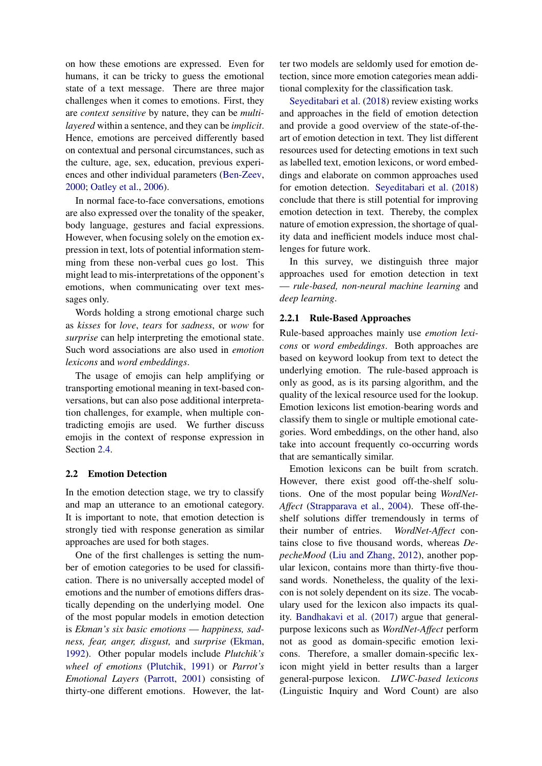on how these emotions are expressed. Even for humans, it can be tricky to guess the emotional state of a text message. There are three major challenges when it comes to emotions. First, they are *context sensitive* by nature, they can be *multilayered* within a sentence, and they can be *implicit*. Hence, emotions are perceived differently based on contextual and personal circumstances, such as the culture, age, sex, education, previous experiences and other individual parameters (Ben-Zeev, 2000; Oatley et al., 2006).

In normal face-to-face conversations, emotions are also expressed over the tonality of the speaker, body language, gestures and facial expressions. However, when focusing solely on the emotion expression in text, lots of potential information stemming from these non-verbal cues go lost. This might lead to mis-interpretations of the opponent's emotions, when communicating over text messages only.

Words holding a strong emotional charge such as *kisses* for *love*, *tears* for *sadness*, or *wow* for *surprise* can help interpreting the emotional state. Such word associations are also used in *emotion lexicons* and *word embeddings*.

The usage of emojis can help amplifying or transporting emotional meaning in text-based conversations, but can also pose additional interpretation challenges, for example, when multiple contradicting emojis are used. We further discuss emojis in the context of response expression in Section 2.4.

### 2.2 Emotion Detection

In the emotion detection stage, we try to classify and map an utterance to an emotional category. It is important to note, that emotion detection is strongly tied with response generation as similar approaches are used for both stages.

One of the first challenges is setting the number of emotion categories to be used for classification. There is no universally accepted model of emotions and the number of emotions differs drastically depending on the underlying model. One of the most popular models in emotion detection is *Ekman's six basic emotions* — *happiness, sadness, fear, anger, disgust,* and *surprise* (Ekman, 1992). Other popular models include *Plutchik's wheel of emotions* (Plutchik, 1991) or *Parrot's Emotional Layers* (Parrott, 2001) consisting of thirty-one different emotions. However, the latter two models are seldomly used for emotion detection, since more emotion categories mean additional complexity for the classification task.

Seyeditabari et al. (2018) review existing works and approaches in the field of emotion detection and provide a good overview of the state-of-theart of emotion detection in text. They list different resources used for detecting emotions in text such as labelled text, emotion lexicons, or word embeddings and elaborate on common approaches used for emotion detection. Seyeditabari et al. (2018) conclude that there is still potential for improving emotion detection in text. Thereby, the complex nature of emotion expression, the shortage of quality data and inefficient models induce most challenges for future work.

In this survey, we distinguish three major approaches used for emotion detection in text — *rule-based, non-neural machine learning* and *deep learning*.

#### 2.2.1 Rule-Based Approaches

Rule-based approaches mainly use *emotion lexicons* or *word embeddings*. Both approaches are based on keyword lookup from text to detect the underlying emotion. The rule-based approach is only as good, as is its parsing algorithm, and the quality of the lexical resource used for the lookup. Emotion lexicons list emotion-bearing words and classify them to single or multiple emotional categories. Word embeddings, on the other hand, also take into account frequently co-occurring words that are semantically similar.

Emotion lexicons can be built from scratch. However, there exist good off-the-shelf solutions. One of the most popular being *WordNet-Affect* (Strapparava et al., 2004). These off-theshelf solutions differ tremendously in terms of their number of entries. *WordNet-Affect* contains close to five thousand words, whereas *DepecheMood* (Liu and Zhang, 2012), another popular lexicon, contains more than thirty-five thousand words. Nonetheless, the quality of the lexicon is not solely dependent on its size. The vocabulary used for the lexicon also impacts its quality. Bandhakavi et al. (2017) argue that generalpurpose lexicons such as *WordNet-Affect* perform not as good as domain-specific emotion lexicons. Therefore, a smaller domain-specific lexicon might yield in better results than a larger general-purpose lexicon. *LIWC-based lexicons* (Linguistic Inquiry and Word Count) are also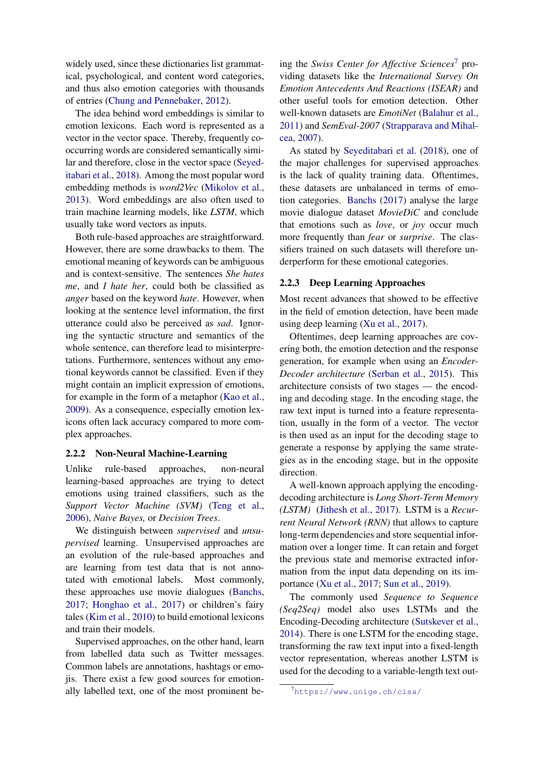widely used, since these dictionaries list grammatical, psychological, and content word categories, and thus also emotion categories with thousands of entries (Chung and Pennebaker, 2012).

The idea behind word embeddings is similar to emotion lexicons. Each word is represented as a vector in the vector space. Thereby, frequently cooccurring words are considered semantically similar and therefore, close in the vector space (Seyeditabari et al., 2018). Among the most popular word embedding methods is *word2Vec* (Mikolov et al., 2013). Word embeddings are also often used to train machine learning models, like *LSTM*, which usually take word vectors as inputs.

Both rule-based approaches are straightforward. However, there are some drawbacks to them. The emotional meaning of keywords can be ambiguous and is context-sensitive. The sentences *She hates me*, and *I hate her*, could both be classified as *anger* based on the keyword *hate*. However, when looking at the sentence level information, the first utterance could also be perceived as *sad*. Ignoring the syntactic structure and semantics of the whole sentence, can therefore lead to misinterpretations. Furthermore, sentences without any emotional keywords cannot be classified. Even if they might contain an implicit expression of emotions, for example in the form of a metaphor (Kao et al., 2009). As a consequence, especially emotion lexicons often lack accuracy compared to more complex approaches.

#### 2.2.2 Non-Neural Machine-Learning

Unlike rule-based approaches, non-neural learning-based approaches are trying to detect emotions using trained classifiers, such as the *Support Vector Machine (SVM)* (Teng et al., 2006), *Naive Bayes,* or *Decision Trees*.

We distinguish between *supervised* and *unsupervised* learning. Unsupervised approaches are an evolution of the rule-based approaches and are learning from test data that is not annotated with emotional labels. Most commonly, these approaches use movie dialogues (Banchs, 2017; Honghao et al., 2017) or children's fairy tales (Kim et al., 2010) to build emotional lexicons and train their models.

Supervised approaches, on the other hand, learn from labelled data such as Twitter messages. Common labels are annotations, hashtags or emojis. There exist a few good sources for emotionally labelled text, one of the most prominent be-

ing the *Swiss Center for Affective Sciences*<sup>7</sup> providing datasets like the *International Survey On Emotion Antecedents And Reactions (ISEAR)* and other useful tools for emotion detection. Other well-known datasets are *EmotiNet* (Balahur et al., 2011) and *SemEval-2007* (Strapparava and Mihalcea, 2007).

As stated by Seyeditabari et al. (2018), one of the major challenges for supervised approaches is the lack of quality training data. Oftentimes, these datasets are unbalanced in terms of emotion categories. Banchs (2017) analyse the large movie dialogue dataset *MovieDiC* and conclude that emotions such as *love*, or *joy* occur much more frequently than *fear* or *surprise*. The classifiers trained on such datasets will therefore underperform for these emotional categories.

### 2.2.3 Deep Learning Approaches

Most recent advances that showed to be effective in the field of emotion detection, have been made using deep learning (Xu et al., 2017).

Oftentimes, deep learning approaches are covering both, the emotion detection and the response generation, for example when using an *Encoder-Decoder architecture* (Serban et al., 2015). This architecture consists of two stages — the encoding and decoding stage. In the encoding stage, the raw text input is turned into a feature representation, usually in the form of a vector. The vector is then used as an input for the decoding stage to generate a response by applying the same strategies as in the encoding stage, but in the opposite direction.

A well-known approach applying the encodingdecoding architecture is *Long Short-Term Memory (LSTM)* (Jithesh et al., 2017). LSTM is a *Recurrent Neural Network (RNN)* that allows to capture long-term dependencies and store sequential information over a longer time. It can retain and forget the previous state and memorise extracted information from the input data depending on its importance (Xu et al., 2017; Sun et al., 2019).

The commonly used *Sequence to Sequence (Seq2Seq)* model also uses LSTMs and the Encoding-Decoding architecture (Sutskever et al., 2014). There is one LSTM for the encoding stage, transforming the raw text input into a fixed-length vector representation, whereas another LSTM is used for the decoding to a variable-length text out-

 $7$ https://www.unige.ch/cisa/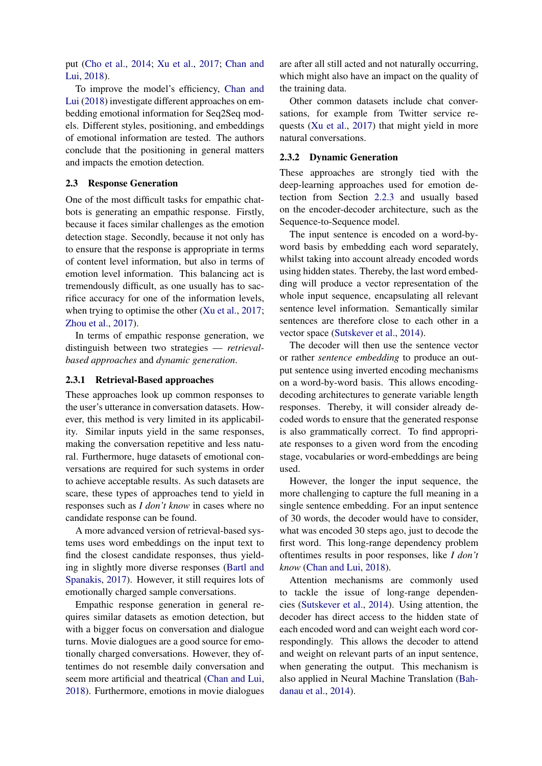put (Cho et al., 2014; Xu et al., 2017; Chan and Lui, 2018).

To improve the model's efficiency, Chan and Lui (2018) investigate different approaches on embedding emotional information for Seq2Seq models. Different styles, positioning, and embeddings of emotional information are tested. The authors conclude that the positioning in general matters and impacts the emotion detection.

#### 2.3 Response Generation

One of the most difficult tasks for empathic chatbots is generating an empathic response. Firstly, because it faces similar challenges as the emotion detection stage. Secondly, because it not only has to ensure that the response is appropriate in terms of content level information, but also in terms of emotion level information. This balancing act is tremendously difficult, as one usually has to sacrifice accuracy for one of the information levels, when trying to optimise the other (Xu et al., 2017; Zhou et al., 2017).

In terms of empathic response generation, we distinguish between two strategies — *retrievalbased approaches* and *dynamic generation*.

#### 2.3.1 Retrieval-Based approaches

These approaches look up common responses to the user's utterance in conversation datasets. However, this method is very limited in its applicability. Similar inputs yield in the same responses, making the conversation repetitive and less natural. Furthermore, huge datasets of emotional conversations are required for such systems in order to achieve acceptable results. As such datasets are scare, these types of approaches tend to yield in responses such as *I don't know* in cases where no candidate response can be found.

A more advanced version of retrieval-based systems uses word embeddings on the input text to find the closest candidate responses, thus yielding in slightly more diverse responses (Bartl and Spanakis, 2017). However, it still requires lots of emotionally charged sample conversations.

Empathic response generation in general requires similar datasets as emotion detection, but with a bigger focus on conversation and dialogue turns. Movie dialogues are a good source for emotionally charged conversations. However, they oftentimes do not resemble daily conversation and seem more artificial and theatrical (Chan and Lui, 2018). Furthermore, emotions in movie dialogues are after all still acted and not naturally occurring, which might also have an impact on the quality of the training data.

Other common datasets include chat conversations, for example from Twitter service requests (Xu et al., 2017) that might yield in more natural conversations.

#### 2.3.2 Dynamic Generation

These approaches are strongly tied with the deep-learning approaches used for emotion detection from Section 2.2.3 and usually based on the encoder-decoder architecture, such as the Sequence-to-Sequence model.

The input sentence is encoded on a word-byword basis by embedding each word separately, whilst taking into account already encoded words using hidden states. Thereby, the last word embedding will produce a vector representation of the whole input sequence, encapsulating all relevant sentence level information. Semantically similar sentences are therefore close to each other in a vector space (Sutskever et al., 2014).

The decoder will then use the sentence vector or rather *sentence embedding* to produce an output sentence using inverted encoding mechanisms on a word-by-word basis. This allows encodingdecoding architectures to generate variable length responses. Thereby, it will consider already decoded words to ensure that the generated response is also grammatically correct. To find appropriate responses to a given word from the encoding stage, vocabularies or word-embeddings are being used.

However, the longer the input sequence, the more challenging to capture the full meaning in a single sentence embedding. For an input sentence of 30 words, the decoder would have to consider, what was encoded 30 steps ago, just to decode the first word. This long-range dependency problem oftentimes results in poor responses, like *I don't know* (Chan and Lui, 2018).

Attention mechanisms are commonly used to tackle the issue of long-range dependencies (Sutskever et al., 2014). Using attention, the decoder has direct access to the hidden state of each encoded word and can weight each word correspondingly. This allows the decoder to attend and weight on relevant parts of an input sentence, when generating the output. This mechanism is also applied in Neural Machine Translation (Bahdanau et al., 2014).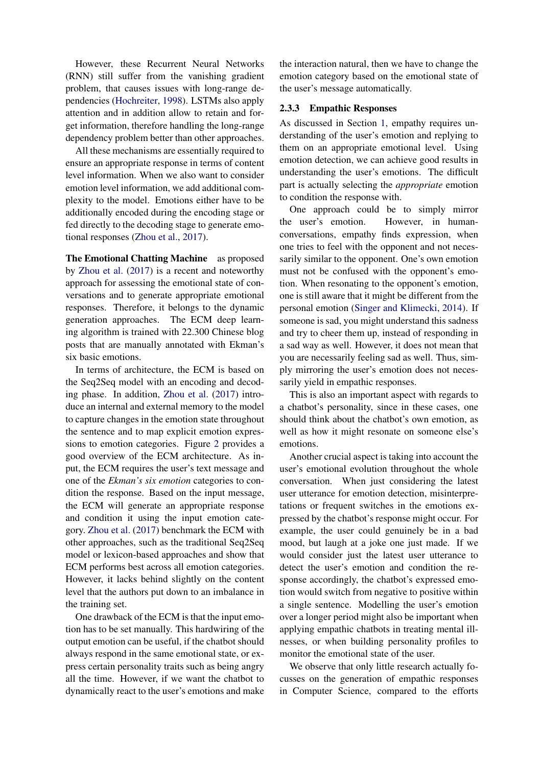However, these Recurrent Neural Networks (RNN) still suffer from the vanishing gradient problem, that causes issues with long-range dependencies (Hochreiter, 1998). LSTMs also apply attention and in addition allow to retain and forget information, therefore handling the long-range dependency problem better than other approaches.

All these mechanisms are essentially required to ensure an appropriate response in terms of content level information. When we also want to consider emotion level information, we add additional complexity to the model. Emotions either have to be additionally encoded during the encoding stage or fed directly to the decoding stage to generate emotional responses (Zhou et al., 2017).

The Emotional Chatting Machine as proposed by Zhou et al. (2017) is a recent and noteworthy approach for assessing the emotional state of conversations and to generate appropriate emotional responses. Therefore, it belongs to the dynamic generation approaches. The ECM deep learning algorithm is trained with 22.300 Chinese blog posts that are manually annotated with Ekman's six basic emotions.

In terms of architecture, the ECM is based on the Seq2Seq model with an encoding and decoding phase. In addition, Zhou et al. (2017) introduce an internal and external memory to the model to capture changes in the emotion state throughout the sentence and to map explicit emotion expressions to emotion categories. Figure 2 provides a good overview of the ECM architecture. As input, the ECM requires the user's text message and one of the *Ekman's six emotion* categories to condition the response. Based on the input message, the ECM will generate an appropriate response and condition it using the input emotion category. Zhou et al. (2017) benchmark the ECM with other approaches, such as the traditional Seq2Seq model or lexicon-based approaches and show that ECM performs best across all emotion categories. However, it lacks behind slightly on the content level that the authors put down to an imbalance in the training set.

One drawback of the ECM is that the input emotion has to be set manually. This hardwiring of the output emotion can be useful, if the chatbot should always respond in the same emotional state, or express certain personality traits such as being angry all the time. However, if we want the chatbot to dynamically react to the user's emotions and make the interaction natural, then we have to change the emotion category based on the emotional state of the user's message automatically.

#### 2.3.3 Empathic Responses

As discussed in Section 1, empathy requires understanding of the user's emotion and replying to them on an appropriate emotional level. Using emotion detection, we can achieve good results in understanding the user's emotions. The difficult part is actually selecting the *appropriate* emotion to condition the response with.

One approach could be to simply mirror the user's emotion. However, in humanconversations, empathy finds expression, when one tries to feel with the opponent and not necessarily similar to the opponent. One's own emotion must not be confused with the opponent's emotion. When resonating to the opponent's emotion, one is still aware that it might be different from the personal emotion (Singer and Klimecki, 2014). If someone is sad, you might understand this sadness and try to cheer them up, instead of responding in a sad way as well. However, it does not mean that you are necessarily feeling sad as well. Thus, simply mirroring the user's emotion does not necessarily yield in empathic responses.

This is also an important aspect with regards to a chatbot's personality, since in these cases, one should think about the chatbot's own emotion, as well as how it might resonate on someone else's emotions.

Another crucial aspect is taking into account the user's emotional evolution throughout the whole conversation. When just considering the latest user utterance for emotion detection, misinterpretations or frequent switches in the emotions expressed by the chatbot's response might occur. For example, the user could genuinely be in a bad mood, but laugh at a joke one just made. If we would consider just the latest user utterance to detect the user's emotion and condition the response accordingly, the chatbot's expressed emotion would switch from negative to positive within a single sentence. Modelling the user's emotion over a longer period might also be important when applying empathic chatbots in treating mental illnesses, or when building personality profiles to monitor the emotional state of the user.

We observe that only little research actually focusses on the generation of empathic responses in Computer Science, compared to the efforts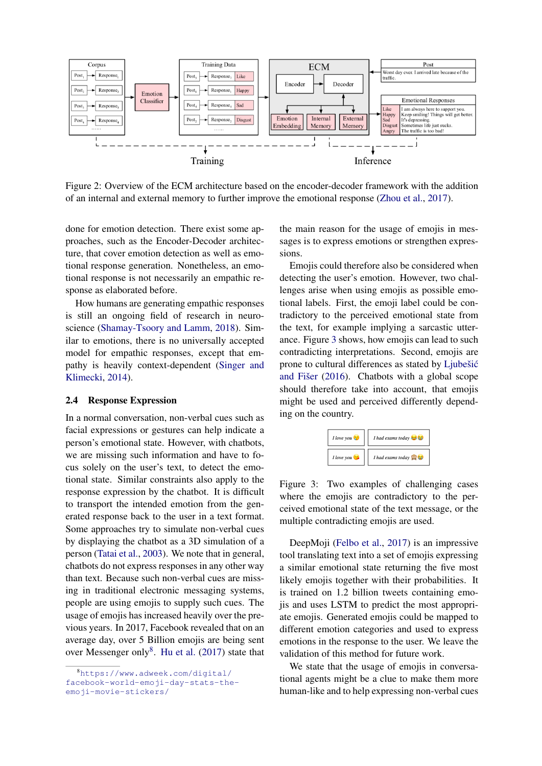

Figure 2: Overview of the ECM architecture based on the encoder-decoder framework with the addition of an internal and external memory to further improve the emotional response (Zhou et al., 2017).

done for emotion detection. There exist some approaches, such as the Encoder-Decoder architecture, that cover emotion detection as well as emotional response generation. Nonetheless, an emotional response is not necessarily an empathic response as elaborated before.

How humans are generating empathic responses is still an ongoing field of research in neuroscience (Shamay-Tsoory and Lamm, 2018). Similar to emotions, there is no universally accepted model for empathic responses, except that empathy is heavily context-dependent (Singer and Klimecki, 2014).

#### 2.4 Response Expression

In a normal conversation, non-verbal cues such as facial expressions or gestures can help indicate a person's emotional state. However, with chatbots, we are missing such information and have to focus solely on the user's text, to detect the emotional state. Similar constraints also apply to the response expression by the chatbot. It is difficult to transport the intended emotion from the generated response back to the user in a text format. Some approaches try to simulate non-verbal cues by displaying the chatbot as a 3D simulation of a person (Tatai et al., 2003). We note that in general, chatbots do not express responses in any other way than text. Because such non-verbal cues are missing in traditional electronic messaging systems, people are using emojis to supply such cues. The usage of emojis has increased heavily over the previous years. In 2017, Facebook revealed that on an average day, over 5 Billion emojis are being sent over Messenger only $8$ . Hu et al. (2017) state that

the main reason for the usage of emojis in messages is to express emotions or strengthen expressions.

Emojis could therefore also be considered when detecting the user's emotion. However, two challenges arise when using emojis as possible emotional labels. First, the emoji label could be contradictory to the perceived emotional state from the text, for example implying a sarcastic utterance. Figure 3 shows, how emojis can lead to such contradicting interpretations. Second, emojis are prone to cultural differences as stated by Ljubešić and Fišer  $(2016)$ . Chatbots with a global scope should therefore take into account, that emojis might be used and perceived differently depending on the country.



Figure 3: Two examples of challenging cases where the emojis are contradictory to the perceived emotional state of the text message, or the multiple contradicting emojis are used.

DeepMoji (Felbo et al., 2017) is an impressive tool translating text into a set of emojis expressing a similar emotional state returning the five most likely emojis together with their probabilities. It is trained on 1.2 billion tweets containing emojis and uses LSTM to predict the most appropriate emojis. Generated emojis could be mapped to different emotion categories and used to express emotions in the response to the user. We leave the validation of this method for future work.

We state that the usage of emojis in conversational agents might be a clue to make them more human-like and to help expressing non-verbal cues

<sup>8</sup>https://www.adweek.com/digital/ facebook-world-emoji-day-stats-theemoji-movie-stickers/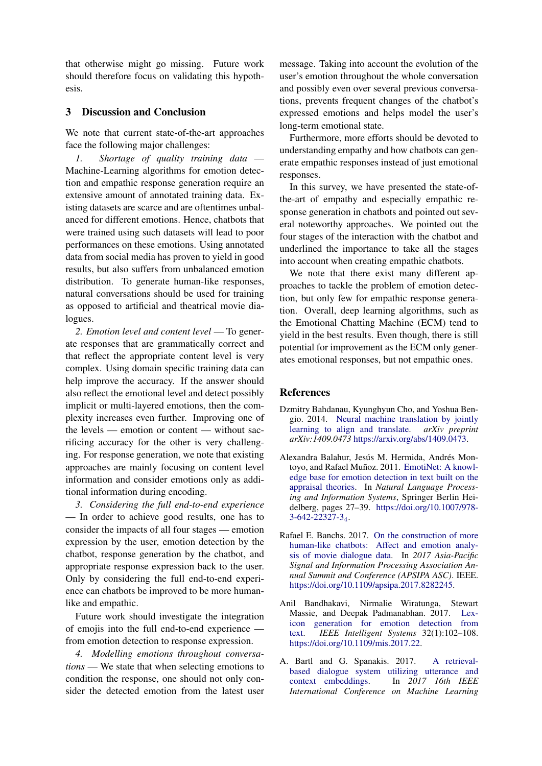that otherwise might go missing. Future work should therefore focus on validating this hypothesis.

# 3 Discussion and Conclusion

We note that current state-of-the-art approaches face the following major challenges:

*1. Shortage of quality training data* — Machine-Learning algorithms for emotion detection and empathic response generation require an extensive amount of annotated training data. Existing datasets are scarce and are oftentimes unbalanced for different emotions. Hence, chatbots that were trained using such datasets will lead to poor performances on these emotions. Using annotated data from social media has proven to yield in good results, but also suffers from unbalanced emotion distribution. To generate human-like responses, natural conversations should be used for training as opposed to artificial and theatrical movie dialogues.

*2. Emotion level and content level* — To generate responses that are grammatically correct and that reflect the appropriate content level is very complex. Using domain specific training data can help improve the accuracy. If the answer should also reflect the emotional level and detect possibly implicit or multi-layered emotions, then the complexity increases even further. Improving one of the levels — emotion or content — without sacrificing accuracy for the other is very challenging. For response generation, we note that existing approaches are mainly focusing on content level information and consider emotions only as additional information during encoding.

*3. Considering the full end-to-end experience* — In order to achieve good results, one has to consider the impacts of all four stages — emotion expression by the user, emotion detection by the chatbot, response generation by the chatbot, and appropriate response expression back to the user. Only by considering the full end-to-end experience can chatbots be improved to be more humanlike and empathic.

Future work should investigate the integration of emojis into the full end-to-end experience from emotion detection to response expression.

*4. Modelling emotions throughout conversations* — We state that when selecting emotions to condition the response, one should not only consider the detected emotion from the latest user message. Taking into account the evolution of the user's emotion throughout the whole conversation and possibly even over several previous conversations, prevents frequent changes of the chatbot's expressed emotions and helps model the user's long-term emotional state.

Furthermore, more efforts should be devoted to understanding empathy and how chatbots can generate empathic responses instead of just emotional responses.

In this survey, we have presented the state-ofthe-art of empathy and especially empathic response generation in chatbots and pointed out several noteworthy approaches. We pointed out the four stages of the interaction with the chatbot and underlined the importance to take all the stages into account when creating empathic chatbots.

We note that there exist many different approaches to tackle the problem of emotion detection, but only few for empathic response generation. Overall, deep learning algorithms, such as the Emotional Chatting Machine (ECM) tend to yield in the best results. Even though, there is still potential for improvement as the ECM only generates emotional responses, but not empathic ones.

# References

- Dzmitry Bahdanau, Kyunghyun Cho, and Yoshua Bengio. 2014. Neural machine translation by jointly learning to align and translate. *arXiv preprint arXiv:1409.0473* https://arxiv.org/abs/1409.0473.
- Alexandra Balahur, Jesús M. Hermida, Andrés Montoyo, and Rafael Muñoz. 2011. EmotiNet: A knowledge base for emotion detection in text built on the appraisal theories. In *Natural Language Processing and Information Systems*, Springer Berlin Heidelberg, pages 27–39. https://doi.org/10.1007/978- 3-642-22327-34.
- Rafael E. Banchs. 2017. On the construction of more human-like chatbots: Affect and emotion analysis of movie dialogue data. In *2017 Asia-Pacific Signal and Information Processing Association Annual Summit and Conference (APSIPA ASC)*. IEEE. https://doi.org/10.1109/apsipa.2017.8282245.
- Anil Bandhakavi, Nirmalie Wiratunga, Stewart Massie, and Deepak Padmanabhan. 2017. Lexicon generation for emotion detection from text. *IEEE Intelligent Systems* 32(1):102–108. https://doi.org/10.1109/mis.2017.22.
- A. Bartl and G. Spanakis. 2017. A retrievalbased dialogue system utilizing utterance and context embeddings. In *2017 16th IEEE International Conference on Machine Learning*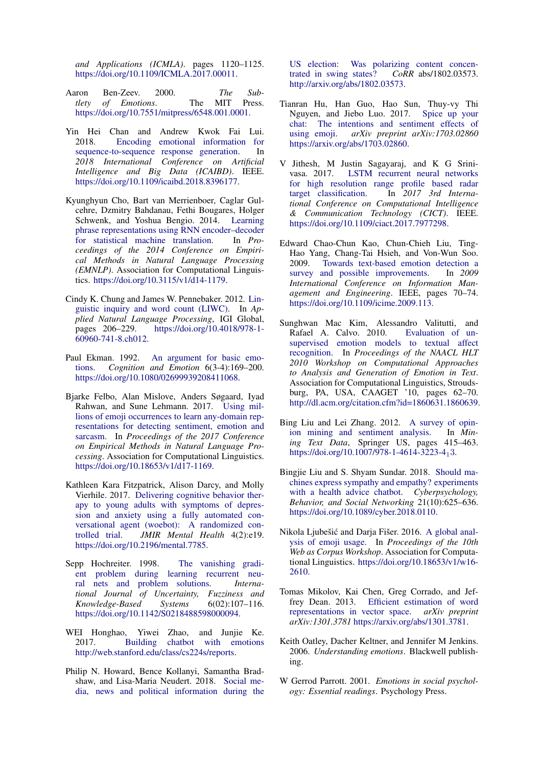*and Applications (ICMLA)*. pages 1120–1125. https://doi.org/10.1109/ICMLA.2017.00011.

- Aaron Ben-Zeev. 2000. *The Subtlety of Emotions*. The MIT Press. https://doi.org/10.7551/mitpress/6548.001.0001.
- Yin Hei Chan and Andrew Kwok Fai Lui. 2018. Encoding emotional information for sequence-to-sequence response generation. In *2018 International Conference on Artificial Intelligence and Big Data (ICAIBD)*. IEEE. https://doi.org/10.1109/icaibd.2018.8396177.
- Kyunghyun Cho, Bart van Merrienboer, Caglar Gulcehre, Dzmitry Bahdanau, Fethi Bougares, Holger Schwenk, and Yoshua Bengio. 2014. Learning phrase representations using RNN encoder–decoder for statistical machine translation. In *Proceedings of the 2014 Conference on Empirical Methods in Natural Language Processing (EMNLP)*. Association for Computational Linguistics. https://doi.org/10.3115/v1/d14-1179.
- Cindy K. Chung and James W. Pennebaker. 2012. Linguistic inquiry and word count (LIWC). In *Applied Natural Language Processing*, IGI Global, pages 206–229. https://doi.org/10.4018/978-1- 60960-741-8.ch012.
- Paul Ekman. 1992. An argument for basic emotions. *Cognition and Emotion* 6(3-4):169–200. https://doi.org/10.1080/02699939208411068.
- Bjarke Felbo, Alan Mislove, Anders Søgaard, Iyad Rahwan, and Sune Lehmann. 2017. Using millions of emoji occurrences to learn any-domain representations for detecting sentiment, emotion and sarcasm. In *Proceedings of the 2017 Conference on Empirical Methods in Natural Language Processing*. Association for Computational Linguistics. https://doi.org/10.18653/v1/d17-1169.
- Kathleen Kara Fitzpatrick, Alison Darcy, and Molly Vierhile. 2017. Delivering cognitive behavior therapy to young adults with symptoms of depression and anxiety using a fully automated conversational agent (woebot): A randomized con-<br>trolled trial. JMIR Mental Health 4(2):e19. JMIR Mental Health 4(2):e19. https://doi.org/10.2196/mental.7785.
- Sepp Hochreiter. 1998. The vanishing gradient problem during learning recurrent neural nets and problem solutions. *International Journal of Uncertainty, Fuzziness and Knowledge-Based Systems* 6(02):107–116. https://doi.org/10.1142/S0218488598000094.
- WEI Honghao, Yiwei Zhao, and Junjie Ke. 2017. Building chatbot with emotions http://web.stanford.edu/class/cs224s/reports.
- Philip N. Howard, Bence Kollanyi, Samantha Bradshaw, and Lisa-Maria Neudert. 2018. Social media, news and political information during the

US election: Was polarizing content concentrated in swing states? *CoRR* abs/1802.03573. http://arxiv.org/abs/1802.03573.

- Tianran Hu, Han Guo, Hao Sun, Thuy-vy Thi Nguyen, and Jiebo Luo. 2017. Spice up your chat: The intentions and sentiment effects of using emoji. *arXiv preprint arXiv:1703.02860* https://arxiv.org/abs/1703.02860.
- V Jithesh, M Justin Sagayaraj, and K G Srinivasa. 2017. LSTM recurrent neural networks for high resolution range profile based radar target classification. In *2017 3rd International Conference on Computational Intelligence & Communication Technology (CICT)*. IEEE. https://doi.org/10.1109/ciact.2017.7977298.
- Edward Chao-Chun Kao, Chun-Chieh Liu, Ting-Hao Yang, Chang-Tai Hsieh, and Von-Wun Soo. 2009. Towards text-based emotion detection a survey and possible improvements. In *2009 International Conference on Information Management and Engineering*. IEEE, pages 70–74. https://doi.org/10.1109/icime.2009.113.
- Sunghwan Mac Kim, Alessandro Valitutti, and Rafael A. Calvo. 2010. Evaluation of unsupervised emotion models to textual affect recognition. In *Proceedings of the NAACL HLT 2010 Workshop on Computational Approaches to Analysis and Generation of Emotion in Text*. Association for Computational Linguistics, Stroudsburg, PA, USA, CAAGET '10, pages 62–70. http://dl.acm.org/citation.cfm?id=1860631.1860639.
- Bing Liu and Lei Zhang. 2012. A survey of opinion mining and sentiment analysis. In *Mining Text Data*, Springer US, pages 415–463. https://doi.org/10.1007/978-1-4614-3223-413.
- Bingjie Liu and S. Shyam Sundar. 2018. Should machines express sympathy and empathy? experiments with a health advice chatbot. *Cyberpsychology, Behavior, and Social Networking* 21(10):625–636. https://doi.org/10.1089/cyber.2018.0110.
- Nikola Ljubešić and Darja Fišer. 2016. A global analysis of emoji usage. In *Proceedings of the 10th Web as Corpus Workshop*. Association for Computational Linguistics. https://doi.org/10.18653/v1/w16- 2610.
- Tomas Mikolov, Kai Chen, Greg Corrado, and Jeffrey Dean. 2013. Efficient estimation of word representations in vector space. *arXiv preprint arXiv:1301.3781* https://arxiv.org/abs/1301.3781.
- Keith Oatley, Dacher Keltner, and Jennifer M Jenkins. 2006. *Understanding emotions*. Blackwell publishing.
- W Gerrod Parrott. 2001. *Emotions in social psychology: Essential readings*. Psychology Press.